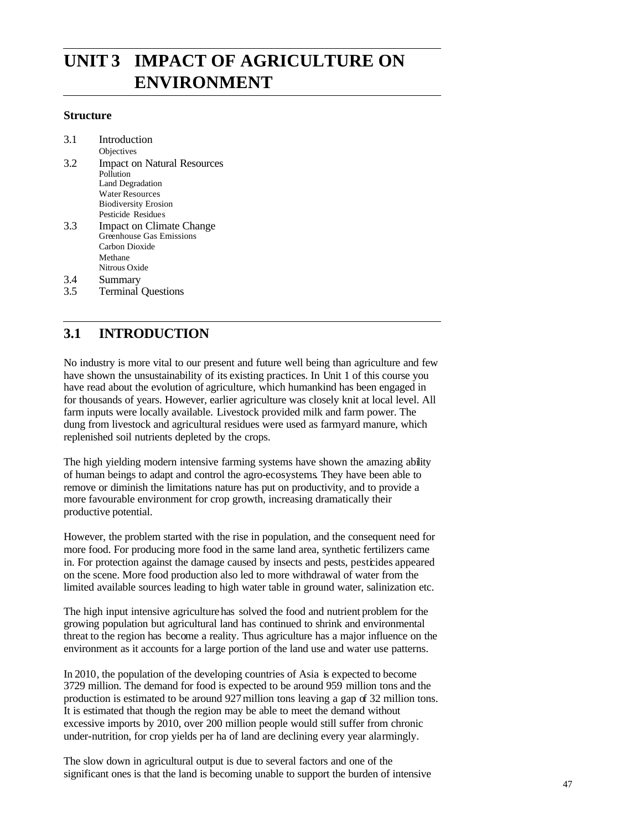# **UNIT 3 IMPACT OF AGRICULTURE ON ENVIRONMENT**

### **Structure**

| 3.1 | Introduction                       |
|-----|------------------------------------|
|     | Objectives                         |
| 3.2 | <b>Impact on Natural Resources</b> |
|     | Pollution                          |
|     | <b>Land Degradation</b>            |
|     | <b>Water Resources</b>             |
|     | <b>Biodiversity Erosion</b>        |
|     | Pesticide Residues                 |
| 3.3 | Impact on Climate Change           |
|     | Greenhouse Gas Emissions           |
|     | Carbon Dioxide                     |
|     | Methane                            |
|     | Nitrous Oxide                      |

- 3.4 Summary
- 3.5 Terminal Questions

# **3.1 INTRODUCTION**

No industry is more vital to our present and future well being than agriculture and few have shown the unsustainability of its existing practices. In Unit 1 of this course you have read about the evolution of agriculture, which humankind has been engaged in for thousands of years. However, earlier agriculture was closely knit at local level. All farm inputs were locally available. Livestock provided milk and farm power. The dung from livestock and agricultural residues were used as farmyard manure, which replenished soil nutrients depleted by the crops.

The high yielding modern intensive farming systems have shown the amazing ability of human beings to adapt and control the agro-ecosystems. They have been able to remove or diminish the limitations nature has put on productivity, and to provide a more favourable environment for crop growth, increasing dramatically their productive potential.

However, the problem started with the rise in population, and the consequent need for more food. For producing more food in the same land area, synthetic fertilizers came in. For protection against the damage caused by insects and pests, pesticides appeared on the scene. More food production also led to more withdrawal of water from the limited available sources leading to high water table in ground water, salinization etc.

The high input intensive agriculture has solved the food and nutrient problem for the growing population but agricultural land has continued to shrink and environmental threat to the region has become a reality. Thus agriculture has a major influence on the environment as it accounts for a large portion of the land use and water use patterns.

In 2010, the population of the developing countries of Asia is expected to become 3729 million. The demand for food is expected to be around 959 million tons and the production is estimated to be around 927million tons leaving a gap of 32 million tons. It is estimated that though the region may be able to meet the demand without excessive imports by 2010, over 200 million people would still suffer from chronic under-nutrition, for crop yields per ha of land are declining every year alarmingly.

The slow down in agricultural output is due to several factors and one of the significant ones is that the land is becoming unable to support the burden of intensive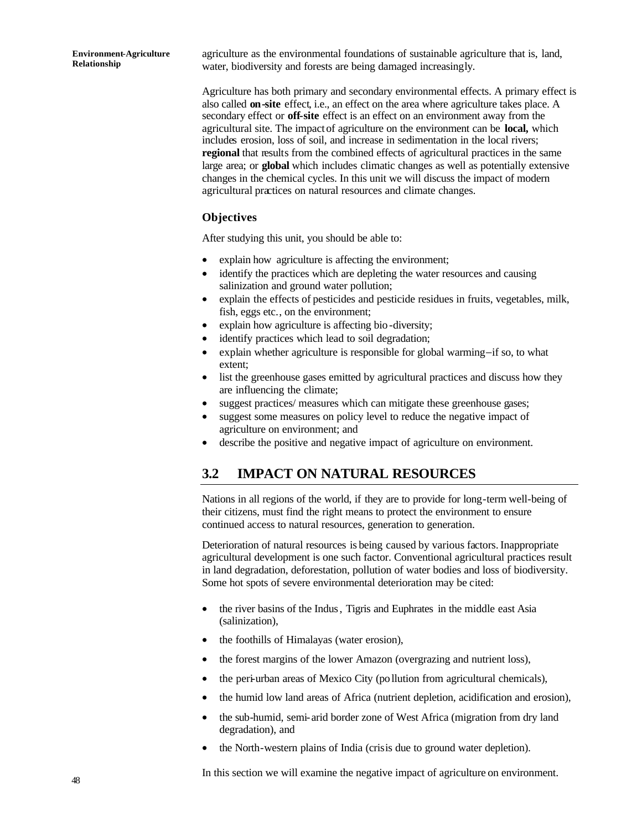agriculture as the environmental foundations of sustainable agriculture that is, land, water, biodiversity and forests are being damaged increasingly.

Agriculture has both primary and secondary environmental effects. A primary effect is also called **on-site** effect, i.e., an effect on the area where agriculture takes place. A secondary effect or **off-site** effect is an effect on an environment away from the agricultural site. The impact of agriculture on the environment can be **local,** which includes erosion, loss of soil, and increase in sedimentation in the local rivers; **regional** that results from the combined effects of agricultural practices in the same large area; or **global** which includes climatic changes as well as potentially extensive changes in the chemical cycles. In this unit we will discuss the impact of modern agricultural practices on natural resources and climate changes.

### **Objectives**

After studying this unit, you should be able to:

- explain how agriculture is affecting the environment;
- identify the practices which are depleting the water resources and causing salinization and ground water pollution;
- explain the effects of pesticides and pesticide residues in fruits, vegetables, milk, fish, eggs etc., on the environment;
- explain how agriculture is affecting bio-diversity;
- identify practices which lead to soil degradation;
- explain whether agriculture is responsible for global warming−if so, to what extent;
- list the greenhouse gases emitted by agricultural practices and discuss how they are influencing the climate;
- suggest practices/ measures which can mitigate these greenhouse gases;
- suggest some measures on policy level to reduce the negative impact of agriculture on environment; and
- describe the positive and negative impact of agriculture on environment.

# **3.2 IMPACT ON NATURAL RESOURCES**

Nations in all regions of the world, if they are to provide for long-term well-being of their citizens, must find the right means to protect the environment to ensure continued access to natural resources, generation to generation.

Deterioration of natural resources is being caused by various factors. Inappropriate agricultural development is one such factor. Conventional agricultural practices result in land degradation, deforestation, pollution of water bodies and loss of biodiversity. Some hot spots of severe environmental deterioration may be cited:

- the river basins of the Indus, Tigris and Euphrates in the middle east Asia (salinization),
- the foothills of Himalayas (water erosion),
- the forest margins of the lower Amazon (overgrazing and nutrient loss),
- the peri-urban areas of Mexico City (pollution from agricultural chemicals),
- the humid low land areas of Africa (nutrient depletion, acidification and erosion),
- the sub-humid, semi-arid border zone of West Africa (migration from dry land degradation), and
- the North-western plains of India (crisis due to ground water depletion).

In this section we will examine the negative impact of agriculture on environment.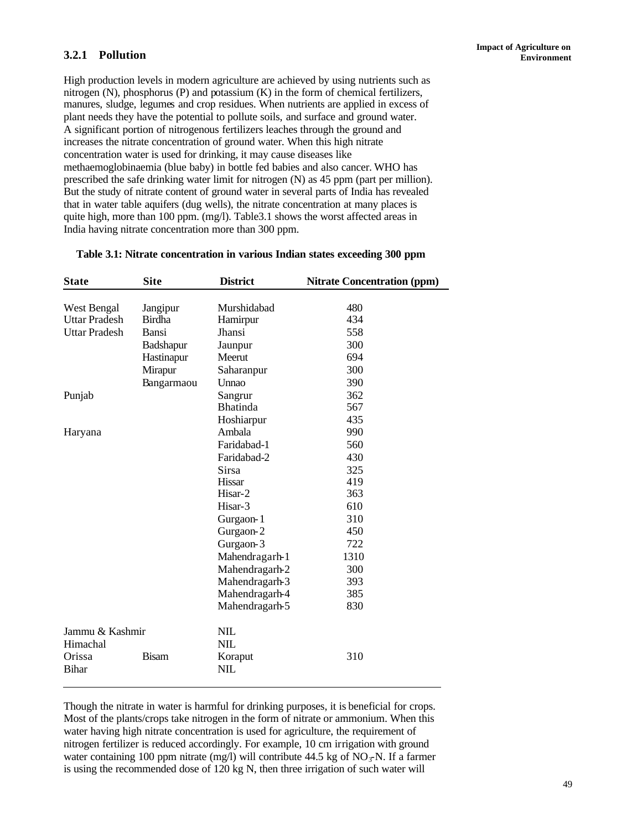## **3.2.1 Pollution**

High production levels in modern agriculture are achieved by using nutrients such as nitrogen (N), phosphorus (P) and potassium (K) in the form of chemical fertilizers, manures, sludge, legumes and crop residues. When nutrients are applied in excess of plant needs they have the potential to pollute soils, and surface and ground water. A significant portion of nitrogenous fertilizers leaches through the ground and increases the nitrate concentration of ground water. When this high nitrate concentration water is used for drinking, it may cause diseases like methaemoglobinaemia (blue baby) in bottle fed babies and also cancer. WHO has prescribed the safe drinking water limit for nitrogen (N) as 45 ppm (part per million). But the study of nitrate content of ground water in several parts of India has revealed that in water table aquifers (dug wells), the nitrate concentration at many places is quite high, more than 100 ppm. (mg/l). Table3.1 shows the worst affected areas in India having nitrate concentration more than 300 ppm.

| <b>State</b>         | <b>Site</b>   | <b>District</b> | <b>Nitrate Concentration (ppm)</b> |
|----------------------|---------------|-----------------|------------------------------------|
|                      |               |                 |                                    |
| West Bengal          | Jangipur      | Murshidabad     | 480                                |
| <b>Uttar Pradesh</b> | <b>Birdha</b> | Hamirpur        | 434                                |
| <b>Uttar Pradesh</b> | Bansi         | Jhansi          | 558                                |
|                      | Badshapur     | Jaunpur         | 300                                |
|                      | Hastinapur    | Meerut          | 694                                |
|                      | Mirapur       | Saharanpur      | 300                                |
|                      | Bangarmaou    | Unnao           | 390                                |
| Punjab               |               | Sangrur         | 362                                |
|                      |               | <b>Bhatinda</b> | 567                                |
|                      |               | Hoshiarpur      | 435                                |
| Haryana              |               | Ambala          | 990                                |
|                      |               | Faridabad-1     | 560                                |
|                      |               | Faridabad-2     | 430                                |
|                      |               | <b>Sirsa</b>    | 325                                |
|                      |               | Hissar          | 419                                |
|                      |               | Hisar-2         | 363                                |
|                      |               | Hisar-3         | 610                                |
|                      |               | Gurgaon-1       | 310                                |
|                      |               | Gurgaon-2       | 450                                |
|                      |               | Gurgaon-3       | 722                                |
|                      |               | Mahendragarh-1  | 1310                               |
|                      |               | Mahendragarh-2  | 300                                |
|                      |               | Mahendragarh-3  | 393                                |
|                      |               | Mahendragarh-4  | 385                                |
|                      |               | Mahendragarh-5  | 830                                |
| Jammu & Kashmir      |               | NIL             |                                    |
| Himachal             |               | <b>NIL</b>      |                                    |
| Orissa               | <b>Bisam</b>  | Koraput         | 310                                |
| <b>Bihar</b>         |               | NIL             |                                    |

## **Table 3.1: Nitrate concentration in various Indian states exceeding 300 ppm**

Though the nitrate in water is harmful for drinking purposes, it is beneficial for crops. Most of the plants/crops take nitrogen in the form of nitrate or ammonium. When this water having high nitrate concentration is used for agriculture, the requirement of nitrogen fertilizer is reduced accordingly. For example, 10 cm irrigation with ground water containing 100 ppm nitrate (mg/l) will contribute 44.5 kg of NO<sub> $\tau$ </sub>N. If a farmer is using the recommended dose of 120 kg N, then three irrigation of such water will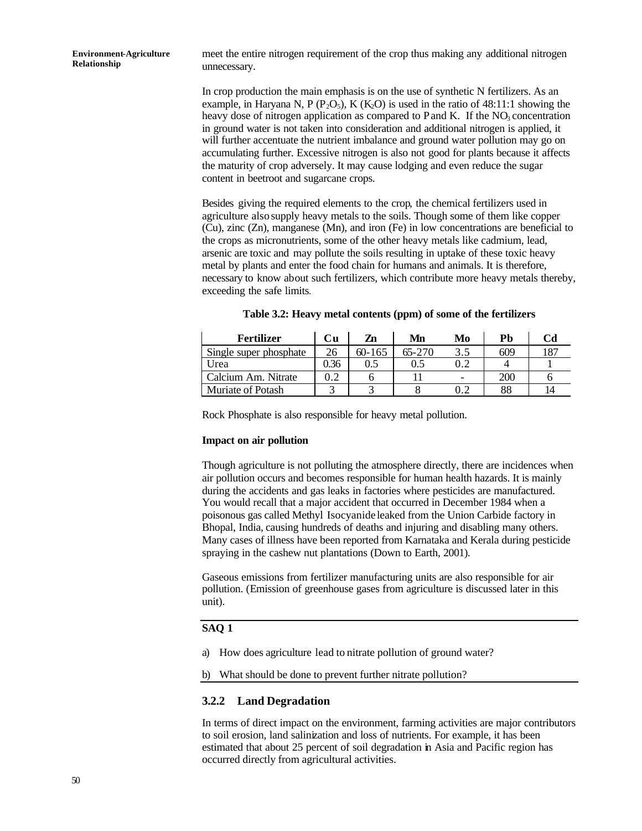meet the entire nitrogen requirement of the crop thus making any additional nitrogen unnecessary.

In crop production the main emphasis is on the use of synthetic N fertilizers. As an example, in Haryana N, P ( $P_2O_5$ ), K ( $K_2O$ ) is used in the ratio of 48:11:1 showing the heavy dose of nitrogen application as compared to P and K. If the  $NO<sub>3</sub>$  concentration in ground water is not taken into consideration and additional nitrogen is applied, it will further accentuate the nutrient imbalance and ground water pollution may go on accumulating further. Excessive nitrogen is also not good for plants because it affects the maturity of crop adversely. It may cause lodging and even reduce the sugar content in beetroot and sugarcane crops.

Besides giving the required elements to the crop, the chemical fertilizers used in agriculture also supply heavy metals to the soils. Though some of them like copper (Cu), zinc (Zn), manganese (Mn), and iron (Fe) in low concentrations are beneficial to the crops as micronutrients, some of the other heavy metals like cadmium, lead, arsenic are toxic and may pollute the soils resulting in uptake of these toxic heavy metal by plants and enter the food chain for humans and animals. It is therefore, necessary to know about such fertilizers, which contribute more heavy metals thereby, exceeding the safe limits.

| <b>Fertilizer</b>      | Сu   | Zn         | Mn      | Mo                       | Pb  | Cd  |
|------------------------|------|------------|---------|--------------------------|-----|-----|
| Single super phosphate | 26   | $60 - 165$ | 65-270  | 3.5                      | 609 | 187 |
| Urea                   | 0.36 | 0.5        | $0.5\,$ |                          |     |     |
| Calcium Am. Nitrate    |      |            |         | $\overline{\phantom{0}}$ | 200 |     |
| Muriate of Potash      |      |            |         | 0.2                      | 88  |     |

Rock Phosphate is also responsible for heavy metal pollution.

### **Impact on air pollution**

Though agriculture is not polluting the atmosphere directly, there are incidences when air pollution occurs and becomes responsible for human health hazards. It is mainly during the accidents and gas leaks in factories where pesticides are manufactured. You would recall that a major accident that occurred in December 1984 when a poisonous gas called Methyl Isocyanide leaked from the Union Carbide factory in Bhopal, India, causing hundreds of deaths and injuring and disabling many others. Many cases of illness have been reported from Karnataka and Kerala during pesticide spraying in the cashew nut plantations (Down to Earth, 2001).

Gaseous emissions from fertilizer manufacturing units are also responsible for air pollution. (Emission of greenhouse gases from agriculture is discussed later in this unit).

### **SAQ 1**

a) How does agriculture lead to nitrate pollution of ground water?

b) What should be done to prevent further nitrate pollution?

## **3.2.2 Land Degradation**

In terms of direct impact on the environment, farming activities are major contributors to soil erosion, land salinization and loss of nutrients. For example, it has been estimated that about 25 percent of soil degradation in Asia and Pacific region has occurred directly from agricultural activities.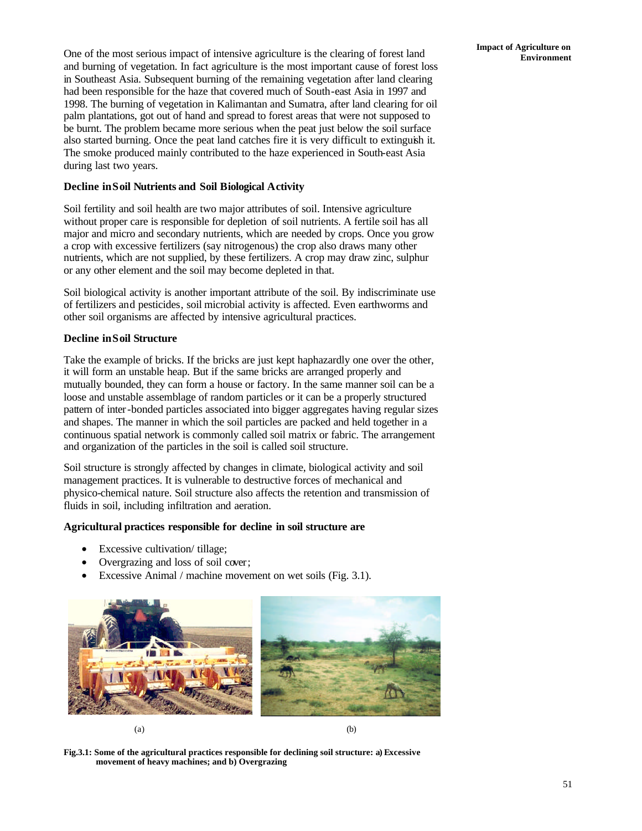**Impact of Agriculture on** One of the most serious impact of intensive agriculture is the clearing of forest land **Environment** and burning of vegetation. In fact agriculture is the most important cause of forest loss in Southeast Asia. Subsequent burning of the remaining vegetation after land clearing had been responsible for the haze that covered much of South-east Asia in 1997 and 1998. The burning of vegetation in Kalimantan and Sumatra, after land clearing for oil palm plantations, got out of hand and spread to forest areas that were not supposed to be burnt. The problem became more serious when the peat just below the soil surface also started burning. Once the peat land catches fire it is very difficult to extinguish it. The smoke produced mainly contributed to the haze experienced in South-east Asia during last two years.

### **Decline in Soil Nutrients and Soil Biological Activity**

Soil fertility and soil health are two major attributes of soil. Intensive agriculture without proper care is responsible for depletion of soil nutrients. A fertile soil has all major and micro and secondary nutrients, which are needed by crops. Once you grow a crop with excessive fertilizers (say nitrogenous) the crop also draws many other nutrients, which are not supplied, by these fertilizers. A crop may draw zinc, sulphur or any other element and the soil may become depleted in that.

Soil biological activity is another important attribute of the soil. By indiscriminate use of fertilizers and pesticides, soil microbial activity is affected. Even earthworms and other soil organisms are affected by intensive agricultural practices.

### **Decline in Soil Structure**

Take the example of bricks. If the bricks are just kept haphazardly one over the other, it will form an unstable heap. But if the same bricks are arranged properly and mutually bounded, they can form a house or factory. In the same manner soil can be a loose and unstable assemblage of random particles or it can be a properly structured pattern of inter-bonded particles associated into bigger aggregates having regular sizes and shapes. The manner in which the soil particles are packed and held together in a continuous spatial network is commonly called soil matrix or fabric. The arrangement and organization of the particles in the soil is called soil structure.

Soil structure is strongly affected by changes in climate, biological activity and soil management practices. It is vulnerable to destructive forces of mechanical and physico-chemical nature. Soil structure also affects the retention and transmission of fluids in soil, including infiltration and aeration.

### **Agricultural practices responsible for decline in soil structure are**

- Excessive cultivation/ tillage;
- Overgrazing and loss of soil cover;
- Excessive Animal / machine movement on wet soils (Fig. 3.1).





**Fig.3.1: Some of the agricultural practices responsible for declining soil structure: a) Excessive movement of heavy machines; and b) Overgrazing**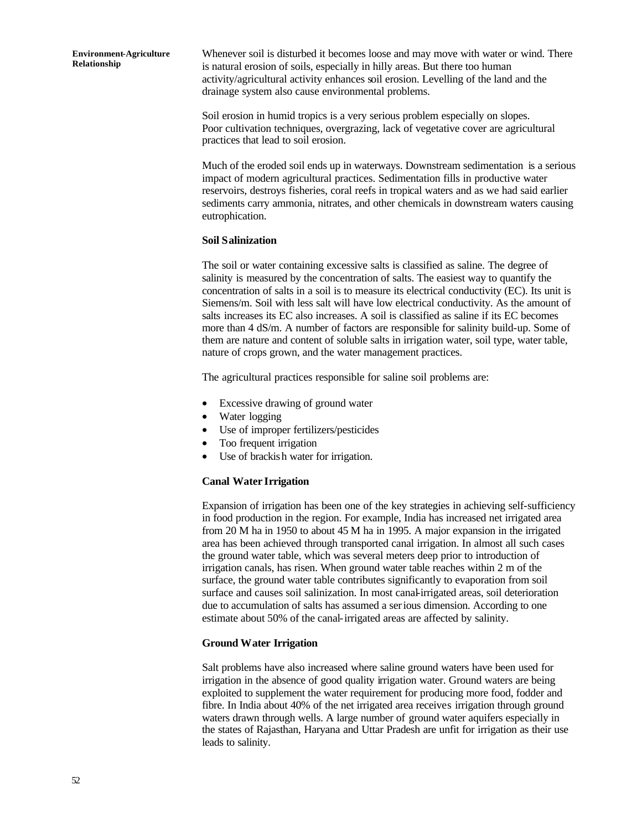Whenever soil is disturbed it becomes loose and may move with water or wind. There is natural erosion of soils, especially in hilly areas. But there too human activity/agricultural activity enhances soil erosion. Levelling of the land and the drainage system also cause environmental problems.

Soil erosion in humid tropics is a very serious problem especially on slopes. Poor cultivation techniques, overgrazing, lack of vegetative cover are agricultural practices that lead to soil erosion.

Much of the eroded soil ends up in waterways. Downstream sedimentation is a serious impact of modern agricultural practices. Sedimentation fills in productive water reservoirs, destroys fisheries, coral reefs in tropical waters and as we had said earlier sediments carry ammonia, nitrates, and other chemicals in downstream waters causing eutrophication.

### **Soil Salinization**

The soil or water containing excessive salts is classified as saline. The degree of salinity is measured by the concentration of salts. The easiest way to quantify the concentration of salts in a soil is to measure its electrical conductivity (EC). Its unit is Siemens/m. Soil with less salt will have low electrical conductivity. As the amount of salts increases its EC also increases. A soil is classified as saline if its EC becomes more than 4 dS/m. A number of factors are responsible for salinity build-up. Some of them are nature and content of soluble salts in irrigation water, soil type, water table, nature of crops grown, and the water management practices.

The agricultural practices responsible for saline soil problems are:

- Excessive drawing of ground water
- Water logging
- Use of improper fertilizers/pesticides
- Too frequent irrigation
- Use of brackish water for irrigation.

### **Canal Water Irrigation**

Expansion of irrigation has been one of the key strategies in achieving self-sufficiency in food production in the region. For example, India has increased net irrigated area from 20 M ha in 1950 to about 45 M ha in 1995. A major expansion in the irrigated area has been achieved through transported canal irrigation. In almost all such cases the ground water table, which was several meters deep prior to introduction of irrigation canals, has risen. When ground water table reaches within 2 m of the surface, the ground water table contributes significantly to evaporation from soil surface and causes soil salinization. In most canal-irrigated areas, soil deterioration due to accumulation of salts has assumed a serious dimension. According to one estimate about 50% of the canal-irrigated areas are affected by salinity.

### **Ground Water Irrigation**

Salt problems have also increased where saline ground waters have been used for irrigation in the absence of good quality irrigation water. Ground waters are being exploited to supplement the water requirement for producing more food, fodder and fibre. In India about 40% of the net irrigated area receives irrigation through ground waters drawn through wells. A large number of ground water aquifers especially in the states of Rajasthan, Haryana and Uttar Pradesh are unfit for irrigation as their use leads to salinity.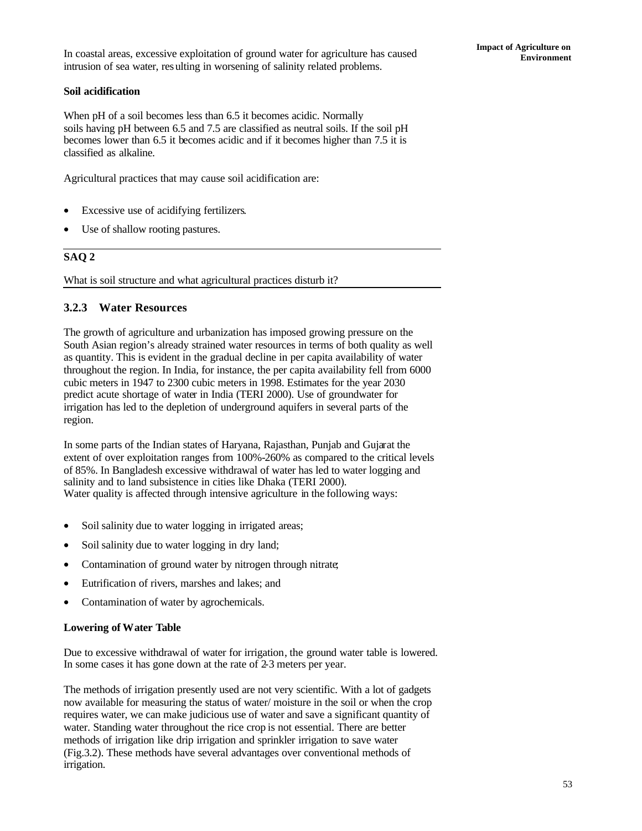## **Soil acidification**

When pH of a soil becomes less than 6.5 it becomes acidic. Normally soils having pH between 6.5 and 7.5 are classified as neutral soils. If the soil pH becomes lower than 6.5 it becomes acidic and if it becomes higher than 7.5 it is classified as alkaline.

Agricultural practices that may cause soil acidification are:

- Excessive use of acidifying fertilizers.
- Use of shallow rooting pastures.

## **SAQ 2**

What is soil structure and what agricultural practices disturb it?

### **3.2.3 Water Resources**

The growth of agriculture and urbanization has imposed growing pressure on the South Asian region's already strained water resources in terms of both quality as well as quantity. This is evident in the gradual decline in per capita availability of water throughout the region. In India, for instance, the per capita availability fell from 6000 cubic meters in 1947 to 2300 cubic meters in 1998. Estimates for the year 2030 predict acute shortage of water in India (TERI 2000). Use of groundwater for irrigation has led to the depletion of underground aquifers in several parts of the region.

In some parts of the Indian states of Haryana, Rajasthan, Punjab and Gujarat the extent of over exploitation ranges from 100%-260% as compared to the critical levels of 85%. In Bangladesh excessive withdrawal of water has led to water logging and salinity and to land subsistence in cities like Dhaka (TERI 2000). Water quality is affected through intensive agriculture in the following ways:

- Soil salinity due to water logging in irrigated areas;
- Soil salinity due to water logging in dry land;
- Contamination of ground water by nitrogen through nitrate;
- Eutrification of rivers, marshes and lakes; and
- Contamination of water by agrochemicals.

### **Lowering of Water Table**

Due to excessive withdrawal of water for irrigation, the ground water table is lowered. In some cases it has gone down at the rate of 2-3 meters per year.

The methods of irrigation presently used are not very scientific. With a lot of gadgets now available for measuring the status of water/ moisture in the soil or when the crop requires water, we can make judicious use of water and save a significant quantity of water. Standing water throughout the rice crop is not essential. There are better methods of irrigation like drip irrigation and sprinkler irrigation to save water (Fig.3.2). These methods have several advantages over conventional methods of irrigation.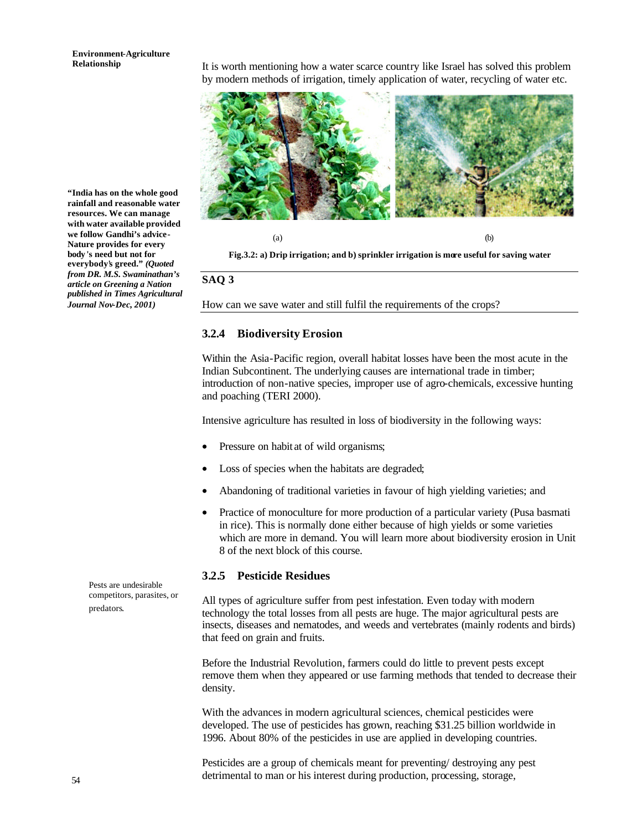# **Environment-Agriculture**

**Relationship** It is worth mentioning how a water scarce country like Israel has solved this problem by modern methods of irrigation, timely application of water, recycling of water etc.



**"India has on the whole good rainfall and reasonable water resources. We can manage with water available provided we follow Gandhi's advice-Nature provides for every body 's need but not for everybody's greed."** *(Quoted from DR. M.S. Swaminathan's article on Greening a Nation published in Times Agricultural Journal Nov-Dec, 2001)* 

**Fig.3.2: a) Drip irrigation; and b) sprinkler irrigation is more useful for saving water**

### **SAQ 3**

How can we save water and still fulfil the requirements of the crops?

### **3.2.4 Biodiversity Erosion**

Within the Asia-Pacific region, overall habitat losses have been the most acute in the Indian Subcontinent. The underlying causes are international trade in timber; introduction of non-native species, improper use of agro-chemicals, excessive hunting and poaching (TERI 2000).

Intensive agriculture has resulted in loss of biodiversity in the following ways:

- Pressure on habit at of wild organisms;
- Loss of species when the habitats are degraded;
- Abandoning of traditional varieties in favour of high yielding varieties; and
- Practice of monoculture for more production of a particular variety (Pusa basmati in rice). This is normally done either because of high yields or some varieties which are more in demand. You will learn more about biodiversity erosion in Unit 8 of the next block of this course.

### **3.2.5 Pesticide Residues**

All types of agriculture suffer from pest infestation. Even today with modern technology the total losses from all pests are huge. The major agricultural pests are insects, diseases and nematodes, and weeds and vertebrates (mainly rodents and birds) that feed on grain and fruits.

Before the Industrial Revolution, farmers could do little to prevent pests except remove them when they appeared or use farming methods that tended to decrease their density.

With the advances in modern agricultural sciences, chemical pesticides were developed. The use of pesticides has grown, reaching \$31.25 billion worldwide in 1996. About 80% of the pesticides in use are applied in developing countries.

Pesticides are a group of chemicals meant for preventing/ destroying any pest detrimental to man or his interest during production, processing, storage,

Pests are undesirable competitors, parasites, or predators.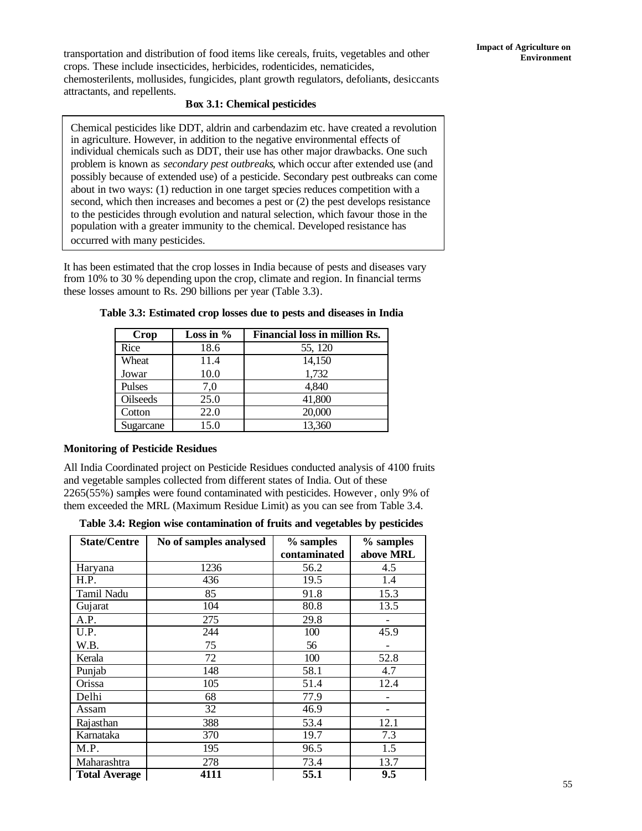**Environment** transportation and distribution of food items like cereals, fruits, vegetables and other crops. These include insecticides, herbicides, rodenticides, nematicides, chemosterilents, mollusides, fungicides, plant growth regulators, defoliants, desiccants attractants, and repellents.

### **Box 3.1: Chemical pesticides**

Chemical pesticides like DDT, aldrin and carbendazim etc. have created a revolution in agriculture. However, in addition to the negative environmental effects of individual chemicals such as DDT, their use has other major drawbacks. One such problem is known as *secondary pest outbreaks*, which occur after extended use (and possibly because of extended use) of a pesticide. Secondary pest outbreaks can come about in two ways: (1) reduction in one target species reduces competition with a second, which then increases and becomes a pest or (2) the pest develops resistance to the pesticides through evolution and natural selection, which favour those in the population with a greater immunity to the chemical. Developed resistance has occurred with many pesticides.

It has been estimated that the crop losses in India because of pests and diseases vary from 10% to 30 % depending upon the crop, climate and region. In financial terms these losses amount to Rs. 290 billions per year (Table 3.3).

| <b>Crop</b> | Loss in $%$ | <b>Financial loss in million Rs.</b> |
|-------------|-------------|--------------------------------------|
| Rice        | 18.6        | 55, 120                              |
| Wheat       | 11.4        | 14,150                               |
| Jowar       | 10.0        | 1,732                                |
| Pulses      | 7,0         | 4,840                                |
| Oilseeds    | 25.0        | 41,800                               |
| Cotton      | 22.0        | 20,000                               |
| Sugarcane   | 15.0        | 13,360                               |

**Table 3.3: Estimated crop losses due to pests and diseases in India**

### **Monitoring of Pesticide Residues**

All India Coordinated project on Pesticide Residues conducted analysis of 4100 fruits and vegetable samples collected from different states of India. Out of these 2265(55%) samples were found contaminated with pesticides. However, only 9% of them exceeded the MRL (Maximum Residue Limit) as you can see from Table 3.4.

| Table 3.4: Region wise contamination of fruits and vegetables by pesticides |  |  |
|-----------------------------------------------------------------------------|--|--|
|                                                                             |  |  |

| <b>State/Centre</b>  | No of samples analysed | % samples    | % samples |
|----------------------|------------------------|--------------|-----------|
|                      |                        | contaminated | above MRL |
| Haryana              | 1236                   | 56.2         | 4.5       |
| H.P.                 | 436                    | 19.5         | 1.4       |
| Tamil Nadu           | 85                     | 91.8         | 15.3      |
| Gujarat              | 104                    | 80.8         | 13.5      |
| A.P.                 | 275                    | 29.8         |           |
| U.P.                 | 244                    | 100          | 45.9      |
| W.B.                 | 75                     | 56           |           |
| Kerala               | 72                     | 100          | 52.8      |
| Punjab               | 148                    | 58.1         | 4.7       |
| Orissa               | 105                    | 51.4         | 12.4      |
| Delhi                | 68                     | 77.9         |           |
| Assam                | 32                     | 46.9         |           |
| Rajasthan            | 388                    | 53.4         | 12.1      |
| Karnataka            | 370                    | 19.7         | 7.3       |
| M.P.                 | 195                    | 96.5         | 1.5       |
| Maharashtra          | 278                    | 73.4         | 13.7      |
| <b>Total Average</b> | 4111                   | 55.1         | 9.5       |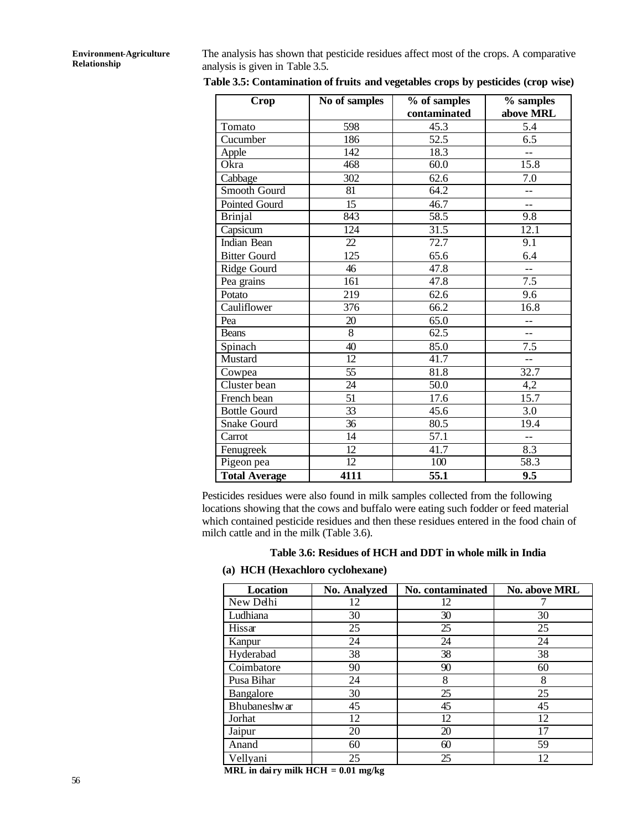The analysis has shown that pesticide residues affect most of the crops. A comparative analysis is given in Table 3.5.

| Crop                 | No of samples   | % of samples<br>contaminated | % samples<br>above MRL |
|----------------------|-----------------|------------------------------|------------------------|
| Tomato               | 598             | 45.3                         | 5.4                    |
| Cucumber             | 186             | 52.5                         | 6.5                    |
| Apple                | 142             | 18.3                         | $-$                    |
| Okra                 | 468             | 60.0                         | 15.8                   |
| Cabbage              | 302             | 62.6                         | $\overline{7.0}$       |
| Smooth Gourd         | 81              | 64.2                         | $-$                    |
| Pointed Gourd        | $\overline{15}$ | 46.7                         | $-$                    |
| <b>Brinjal</b>       | 843             | 58.5                         | 9.8                    |
| Capsicum             | 124             | 31.5                         | 12.1                   |
| Indian Bean          | 22              | 72.7                         | 9.1                    |
| <b>Bitter Gourd</b>  | 125             | 65.6                         | 6.4                    |
| Ridge Gourd          | 46              | 47.8                         | --                     |
| Pea grains           | 161             | 47.8                         | $\overline{7.5}$       |
| Potato               | 219             | 62.6                         | 9.6                    |
| Cauliflower          | 376             | 66.2                         | 16.8                   |
| Pea                  | 20              | 65.0                         | $-$                    |
| <b>Beans</b>         | $\overline{8}$  | 62.5                         | $-$                    |
| Spinach              | 40              | 85.0                         | 7.5                    |
| Mustard              | 12              | 41.7                         | $\overline{a}$         |
| Cowpea               | $\overline{55}$ | 81.8                         | 32.7                   |
| Cluster bean         | 24              | 50.0                         | 4,2                    |
| French bean          | 51              | 17.6                         | 15.7                   |
| <b>Bottle Gourd</b>  | 33              | 45.6                         | 3.0                    |
| Snake Gourd          | 36              | 80.5                         | 19.4                   |
| Carrot               | 14              | 57.1                         | $\overline{a}$         |
| Fenugreek            | $\overline{12}$ | 41.7                         | 8.3                    |
| Pigeon pea           | 12              | 100                          | 58.3                   |
| <b>Total Average</b> | 4111            | $\overline{55.1}$            | 9.5                    |

**Table 3.5: Contamination of fruits and vegetables crops by pesticides (crop wise)**

Pesticides residues were also found in milk samples collected from the following locations showing that the cows and buffalo were eating such fodder or feed material which contained pesticide residues and then these residues entered in the food chain of milch cattle and in the milk (Table 3.6).

### **Table 3.6: Residues of HCH and DDT in whole milk in India**

### **(a) HCH (Hexachloro cyclohexane)**

| <b>Location</b> | <b>No. Analyzed</b> | No. contaminated | <b>No. above MRL</b> |
|-----------------|---------------------|------------------|----------------------|
| New Delhi       | 12                  | 12               |                      |
| Ludhiana        | 30                  | 30               | 30                   |
| Hissar          | 25                  | 25               | 25                   |
| Kanpur          | 24                  | 24               | 24                   |
| Hyderabad       | 38                  | 38               | 38                   |
| Coimbatore      | 90                  | 90               | 60                   |
| Pusa Bihar      | 24                  | 8                | 8                    |
| Bangalore       | 30                  | 25               | 25                   |
| Bhubaneshw ar   | 45                  | 45               | 45                   |
| Jorhat          | 12                  | 12               | 12                   |
| Jaipur          | 20                  | 20               | 17                   |
| Anand           | 60                  | 60               | 59                   |
| Vellyani        | 25                  | 25               | 12                   |

**MRL in dai ry milk HCH = 0.01 mg/kg**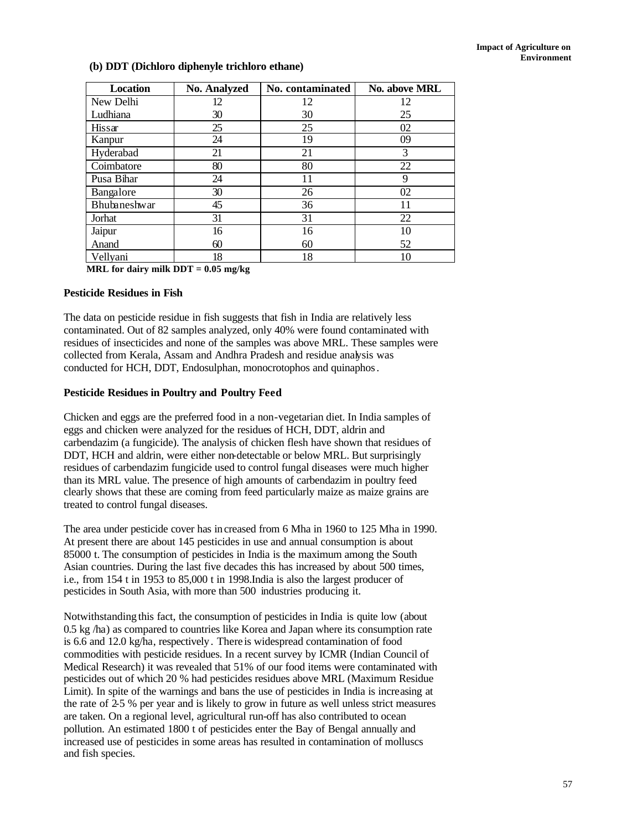### **(b) DDT (Dichloro diphenyle trichloro ethane)**

| <b>Location</b>     | <b>No. Analyzed</b> | No. contaminated | <b>No. above MRL</b> |
|---------------------|---------------------|------------------|----------------------|
| New Delhi           | 12                  | 12               | 12                   |
| Ludhiana            | 30                  | 30               | 25                   |
| Hissar              | 25                  | 25               | 02                   |
| Kanpur              | 24                  | 19               | 09                   |
| Hyderabad           | 21                  | 21               | 3                    |
| Coimbatore          | 80                  | 80               | 22                   |
| Pusa Bihar          | 24                  | 11               | 9                    |
| Bangalore           | 30                  | 26               | 02                   |
| <b>Bhubaneshwar</b> | 45                  | 36               | 11                   |
| Jorhat              | 31                  | 31               | 22                   |
| Jaipur              | 16                  | 16               | 10                   |
| Anand               | 60                  | 60               | 52                   |
| Vellyani            | 18                  | 18               | 10                   |

**MRL for dairy milk DDT = 0.05 mg/kg**

### **Pesticide Residues in Fish**

The data on pesticide residue in fish suggests that fish in India are relatively less contaminated. Out of 82 samples analyzed, only 40% were found contaminated with residues of insecticides and none of the samples was above MRL. These samples were collected from Kerala, Assam and Andhra Pradesh and residue analysis was conducted for HCH, DDT, Endosulphan, monocrotophos and quinaphos.

### **Pesticide Residues in Poultry and Poultry Feed**

Chicken and eggs are the preferred food in a non-vegetarian diet. In India samples of eggs and chicken were analyzed for the residues of HCH, DDT, aldrin and carbendazim (a fungicide). The analysis of chicken flesh have shown that residues of DDT, HCH and aldrin, were either non-detectable or below MRL. But surprisingly residues of carbendazim fungicide used to control fungal diseases were much higher than its MRL value. The presence of high amounts of carbendazim in poultry feed clearly shows that these are coming from feed particularly maize as maize grains are treated to control fungal diseases.

The area under pesticide cover has increased from 6 Mha in 1960 to 125 Mha in 1990. At present there are about 145 pesticides in use and annual consumption is about 85000 t. The consumption of pesticides in India is the maximum among the South Asian countries. During the last five decades this has increased by about 500 times, i.e., from 154 t in 1953 to 85,000 t in 1998.India is also the largest producer of pesticides in South Asia, with more than 500 industries producing it.

Notwithstanding this fact, the consumption of pesticides in India is quite low (about 0.5 kg /ha) as compared to countries like Korea and Japan where its consumption rate is 6.6 and 12.0 kg/ha, respectively. There is widespread contamination of food commodities with pesticide residues. In a recent survey by ICMR (Indian Council of Medical Research) it was revealed that 51% of our food items were contaminated with pesticides out of which 20 % had pesticides residues above MRL (Maximum Residue Limit). In spite of the warnings and bans the use of pesticides in India is increasing at the rate of 2-5 % per year and is likely to grow in future as well unless strict measures are taken. On a regional level, agricultural run-off has also contributed to ocean pollution. An estimated 1800 t of pesticides enter the Bay of Bengal annually and increased use of pesticides in some areas has resulted in contamination of molluscs and fish species.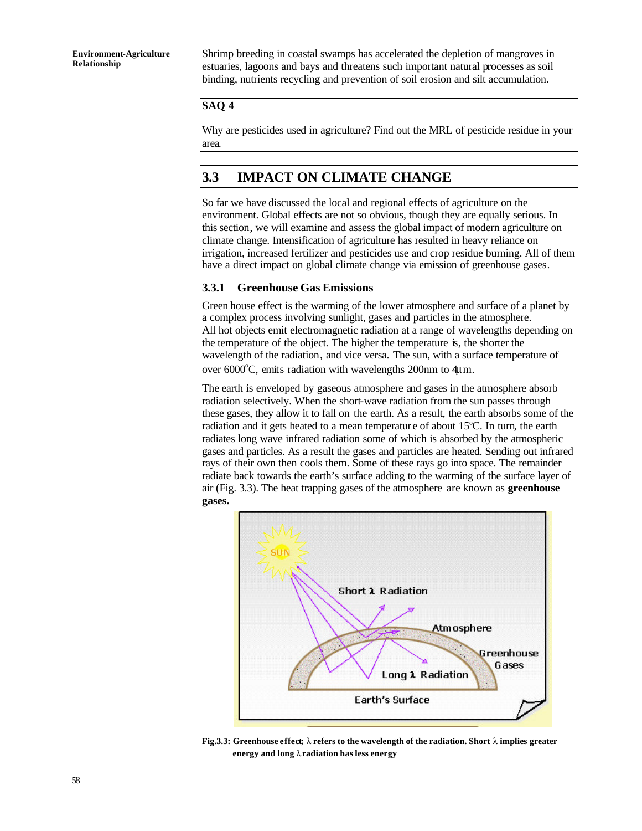Shrimp breeding in coastal swamps has accelerated the depletion of mangroves in estuaries, lagoons and bays and threatens such important natural processes as soil binding, nutrients recycling and prevention of soil erosion and silt accumulation.

### **SAQ 4**

Why are pesticides used in agriculture? Find out the MRL of pesticide residue in your area.

## **3.3 IMPACT ON CLIMATE CHANGE**

So far we have discussed the local and regional effects of agriculture on the environment. Global effects are not so obvious, though they are equally serious. In this section, we will examine and assess the global impact of modern agriculture on climate change. Intensification of agriculture has resulted in heavy reliance on irrigation, increased fertilizer and pesticides use and crop residue burning. All of them have a direct impact on global climate change via emission of greenhouse gases.

### **3.3.1 Greenhouse Gas Emissions**

Green house effect is the warming of the lower atmosphere and surface of a planet by a complex process involving sunlight, gases and particles in the atmosphere. All hot objects emit electromagnetic radiation at a range of wavelengths depending on the temperature of the object. The higher the temperature is, the shorter the wavelength of the radiation, and vice versa. The sun, with a surface temperature of over  $6000^{\circ}$ C, emits radiation with wavelengths 200nm to 4 $\mu$ m.

The earth is enveloped by gaseous atmosphere and gases in the atmosphere absorb radiation selectively. When the short-wave radiation from the sun passes through these gases, they allow it to fall on the earth. As a result, the earth absorbs some of the radiation and it gets heated to a mean temperature of about  $15^{\circ}$ C. In turn, the earth radiates long wave infrared radiation some of which is absorbed by the atmospheric gases and particles. As a result the gases and particles are heated. Sending out infrared rays of their own then cools them. Some of these rays go into space. The remainder radiate back towards the earth's surface adding to the warming of the surface layer of air (Fig. 3.3). The heat trapping gases of the atmosphere are known as **greenhouse gases.**



**Fig.3.3: Greenhouse effect;** λ **refers to the wavelength of the radiation. Short** λ **implies greater energy and long** λ **radiation has less energy**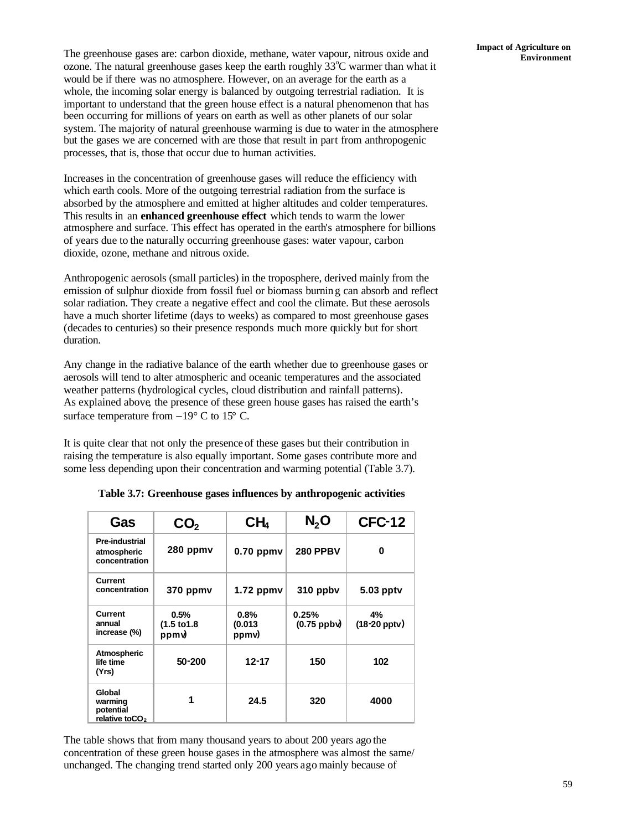**Impact of Agriculture on** The greenhouse gases are: carbon dioxide, methane, water vapour, nitrous oxide and **Environment** ozone. The natural greenhouse gases keep the earth roughly  $33^{\circ}$ C warmer than what it would be if there was no atmosphere. However, on an average for the earth as a whole, the incoming solar energy is balanced by outgoing terrestrial radiation. It is important to understand that the green house effect is a natural phenomenon that has been occurring for millions of years on earth as well as other planets of our solar system. The majority of natural greenhouse warming is due to water in the atmosphere but the gases we are concerned with are those that result in part from anthropogenic processes, that is, those that occur due to human activities.

Increases in the concentration of greenhouse gases will reduce the efficiency with which earth cools. More of the outgoing terrestrial radiation from the surface is absorbed by the atmosphere and emitted at higher altitudes and colder temperatures. This results in an **enhanced greenhouse effect** which tends to warm the lower atmosphere and surface. This effect has operated in the earth's atmosphere for billions of years due to the naturally occurring greenhouse gases: water vapour, carbon dioxide, ozone, methane and nitrous oxide.

Anthropogenic aerosols (small particles) in the troposphere, derived mainly from the emission of sulphur dioxide from fossil fuel or biomass burning can absorb and reflect solar radiation. They create a negative effect and cool the climate. But these aerosols have a much shorter lifetime (days to weeks) as compared to most greenhouse gases (decades to centuries) so their presence responds much more quickly but for short duration.

Any change in the radiative balance of the earth whether due to greenhouse gases or aerosols will tend to alter atmospheric and oceanic temperatures and the associated weather patterns (hydrological cycles, cloud distribution and rainfall patterns). As explained above, the presence of these green house gases has raised the earth's surface temperature from  $-19^{\circ}$  C to 15° C.

It is quite clear that not only the presence of these gases but their contribution in raising the temperature is also equally important. Some gases contribute more and some less depending upon their concentration and warming potential (Table 3.7).

| Gas                                                          | CO <sub>2</sub>                         | CH <sub>4</sub>          | N, O                  | <b>CFC-12</b>           |
|--------------------------------------------------------------|-----------------------------------------|--------------------------|-----------------------|-------------------------|
| Pre-industrial<br>atmospheric<br>concentration               | 280 ppmv                                | $0.70$ ppmv              | <b>280 PPBV</b>       | 0                       |
| Current<br>concentration                                     | 370 ppmv                                | $1.72$ ppmv              | 310 ppbv              | 5.03 pptv               |
| Current<br>annual<br>increase (%)                            | 0.5%<br>$(1.5 \text{ to } 1.8)$<br>ppmy | 0.8%<br>(0.013)<br>ppmv) | 0.25%<br>$(0.75$ ppby | 4%<br>$(18-20$ pptv $)$ |
| Atmospheric<br>life time<br>(Yrs)                            | $50 - 200$                              | $12 - 17$                | 150                   | 102                     |
| Global<br>warming<br>potential<br>relative toCO <sub>2</sub> | 1                                       | 24.5                     | 320                   | 4000                    |

**Table 3.7: Greenhouse gases influences by anthropogenic activities**

The table shows that from many thousand years to about 200 years ago the concentration of these green house gases in the atmosphere was almost the same/ unchanged. The changing trend started only 200 years ago mainly because of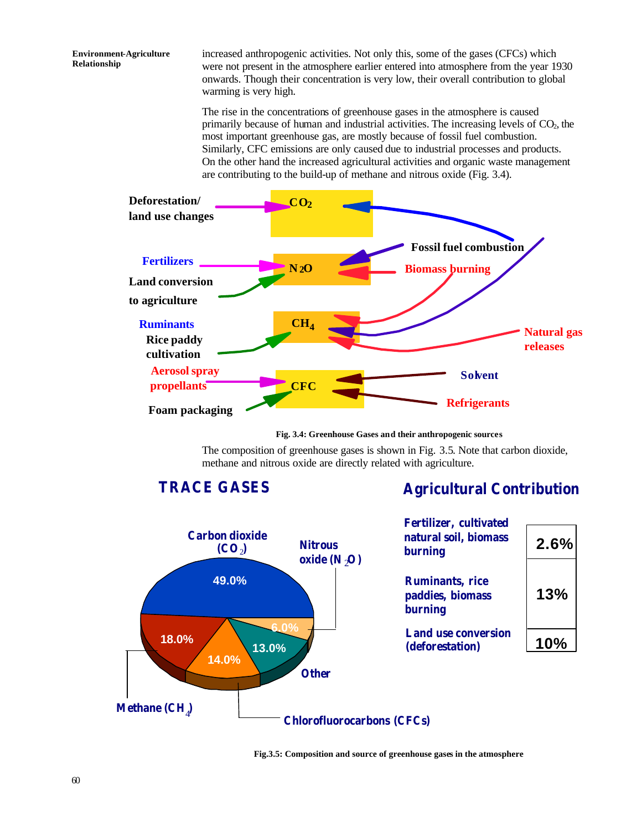increased anthropogenic activities. Not only this, some of the gases (CFCs) which were not present in the atmosphere earlier entered into atmosphere from the year 1930 onwards. Though their concentration is very low, their overall contribution to global warming is very high.

The rise in the concentrations of greenhouse gases in the atmosphere is caused primarily because of human and industrial activities. The increasing levels of  $CO<sub>2</sub>$ , the most important greenhouse gas, are mostly because of fossil fuel combustion. Similarly, CFC emissions are only caused due to industrial processes and products. On the other hand the increased agricultural activities and organic waste management are contributing to the build-up of methane and nitrous oxide (Fig. 3.4).



**Fig. 3.4: Greenhouse Gases and their anthropogenic sources**

The composition of greenhouse gases is shown in Fig. 3.5. Note that carbon dioxide, methane and nitrous oxide are directly related with agriculture.

**TRACE GASES**

# **Agricultural Contribution**





**Fig.3.5: Composition and source of greenhouse gases in the atmosphere**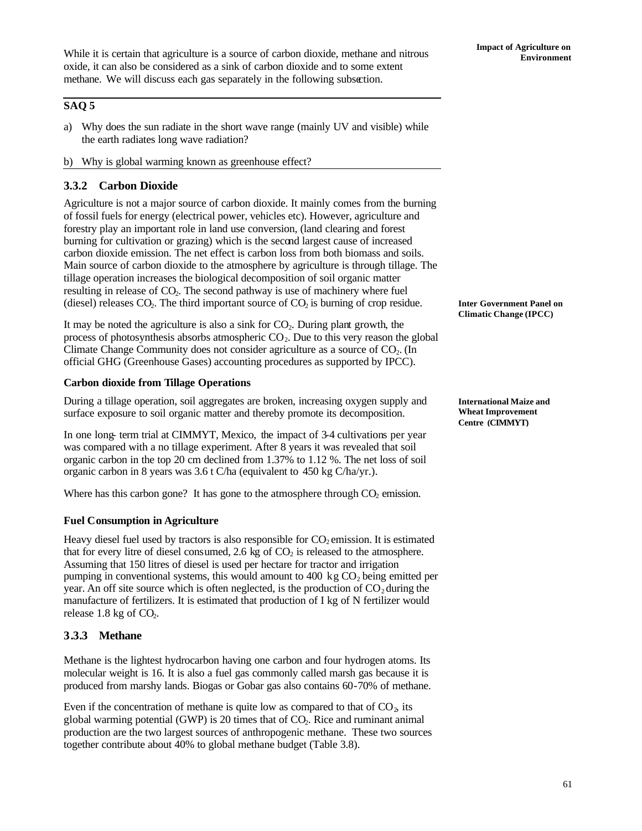## **SAQ 5**

- a) Why does the sun radiate in the short wave range (mainly UV and visible) while the earth radiates long wave radiation?
- b) Why is global warming known as greenhouse effect?

## **3.3.2 Carbon Dioxide**

Agriculture is not a major source of carbon dioxide. It mainly comes from the burning of fossil fuels for energy (electrical power, vehicles etc). However, agriculture and forestry play an important role in land use conversion, (land clearing and forest burning for cultivation or grazing) which is the second largest cause of increased carbon dioxide emission. The net effect is carbon loss from both biomass and soils. Main source of carbon dioxide to the atmosphere by agriculture is through tillage. The tillage operation increases the biological decomposition of soil organic matter resulting in release of CO<sub>2</sub>. The second pathway is use of machinery where fuel (diesel) releases  $CO<sub>2</sub>$ . The third important source of  $CO<sub>2</sub>$  is burning of crop residue.

It may be noted the agriculture is also a sink for  $CO<sub>2</sub>$ . During plant growth, the process of photosynthesis absorbs atmospheric  $CO<sub>2</sub>$ . Due to this very reason the global Climate Change Community does not consider agriculture as a source of  $CO<sub>2</sub>$ . (In official GHG (Greenhouse Gases) accounting procedures as supported by IPCC).

### **Carbon dioxide from Tillage Operations**

During a tillage operation, soil aggregates are broken, increasing oxygen supply and surface exposure to soil organic matter and thereby promote its decomposition.

In one long- term trial at CIMMYT, Mexico, the impact of 3-4 cultivations per year was compared with a no tillage experiment. After 8 years it was revealed that soil organic carbon in the top 20 cm declined from 1.37% to 1.12 %. The net loss of soil organic carbon in 8 years was 3.6 t C/ha (equivalent to 450 kg C/ha/yr.).

Where has this carbon gone? It has gone to the atmosphere through  $CO<sub>2</sub>$  emission.

### **Fuel Consumption in Agriculture**

Heavy diesel fuel used by tractors is also responsible for  $CO<sub>2</sub>$  emission. It is estimated that for every litre of diesel consumed, 2.6 kg of  $CO<sub>2</sub>$  is released to the atmosphere. Assuming that 150 litres of diesel is used per hectare for tractor and irrigation pumping in conventional systems, this would amount to 400 kg  $CO<sub>2</sub>$  being emitted per year. An off site source which is often neglected, is the production of  $CO<sub>2</sub>$  during the manufacture of fertilizers. It is estimated that production of I kg of N fertilizer would release  $1.8$  kg of CO<sub>2</sub>.

### **3.3.3 Methane**

Methane is the lightest hydrocarbon having one carbon and four hydrogen atoms. Its molecular weight is 16. It is also a fuel gas commonly called marsh gas because it is produced from marshy lands. Biogas or Gobar gas also contains 60-70% of methane.

Even if the concentration of methane is quite low as compared to that of  $CO<sub>2</sub>$  its global warming potential  $(GWP)$  is 20 times that of  $CO<sub>2</sub>$ . Rice and ruminant animal production are the two largest sources of anthropogenic methane. These two sources together contribute about 40% to global methane budget (Table 3.8).

**Inter Government Panel on Climatic Change (IPCC)**

**International Maize and Wheat Improvement Centre (CIMMYT)**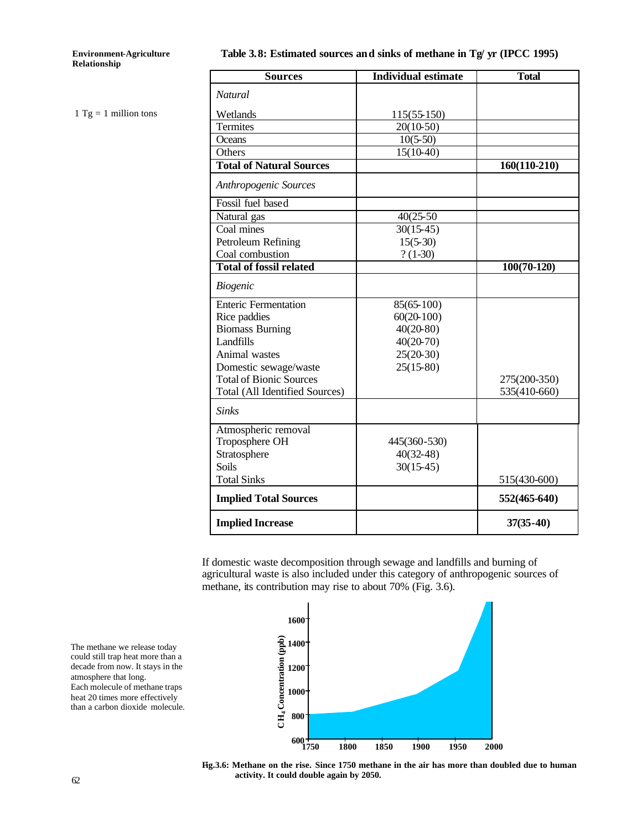$1$  Tg = 1 million tons

### **Table 3.8: Estimated sources and sinks of methane in Tg/ yr (IPCC 1995)**

| <b>Sources</b>                  | <b>Individual estimate</b> | <b>Total</b>   |
|---------------------------------|----------------------------|----------------|
| <b>Natural</b>                  |                            |                |
| Wetlands                        | $115(55-150)$              |                |
| Termites                        | $20(10-50)$                |                |
| Oceans                          | $10(5-50)$                 |                |
| Others                          | $15(10-40)$                |                |
| <b>Total of Natural Sources</b> |                            | $160(110-210)$ |
| Anthropogenic Sources           |                            |                |
| Fossil fuel based               |                            |                |
| Natural gas                     | $40(25-50)$                |                |
| Coal mines                      | $30(15-45)$                |                |
| Petroleum Refining              | $15(5-30)$                 |                |
| Coal combustion                 | $? (1-30)$                 |                |
| <b>Total of fossil related</b>  |                            | $100(70-120)$  |
| <b>Biogenic</b>                 |                            |                |
| <b>Enteric Fermentation</b>     | $85(65-100)$               |                |
| Rice paddies                    | $60(20-100)$               |                |
| <b>Biomass Burning</b>          | $40(20-80)$                |                |
| Landfills                       | $40(20-70)$                |                |
| Animal wastes                   | $25(20-30)$                |                |
| Domestic sewage/waste           | $25(15-80)$                |                |
| <b>Total of Bionic Sources</b>  |                            | 275(200-350)   |
| Total (All Identified Sources)  |                            | 535(410-660)   |
| <b>Sinks</b>                    |                            |                |
| Atmospheric removal             |                            |                |
| Troposphere OH                  | 445(360-530)               |                |
| Stratosphere                    | $40(32-48)$                |                |
| Soils                           | $30(15-45)$                |                |
| <b>Total Sinks</b>              |                            | 515(430-600)   |
| <b>Implied Total Sources</b>    |                            | 552(465-640)   |
| <b>Implied Increase</b>         |                            | $37(35-40)$    |

If domestic waste decomposition through sewage and landfills and burning of agricultural waste is also included under this category of anthropogenic sources of methane, its contribution may rise to about 70% (Fig. 3.6).



The methane we release today could still trap heat more than a decade from now. It stays in the atmosphere that long. Each molecule of methane traps heat 20 times more effectively than a carbon dioxide molecule.

**Fig.3.6: Methane on the rise. Since 1750 methane in the air has more than doubled due to human activity. It could double again by 2050.** 

62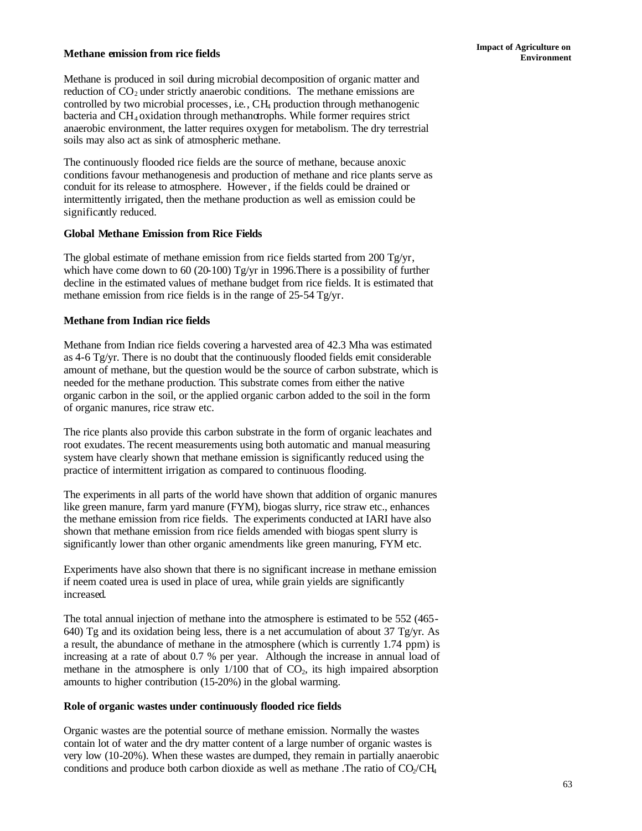# **Impact of Agriculture on <b>Impact** of Agriculture on **Environment Environment**

Methane is produced in soil during microbial decomposition of organic matter and reduction of  $CO<sub>2</sub>$  under strictly anaerobic conditions. The methane emissions are controlled by two microbial processes, i.e., CH4 production through methanogenic bacteria and CH<sub>4</sub> oxidation through methanotrophs. While former requires strict anaerobic environment, the latter requires oxygen for metabolism. The dry terrestrial soils may also act as sink of atmospheric methane.

The continuously flooded rice fields are the source of methane, because anoxic conditions favour methanogenesis and production of methane and rice plants serve as conduit for its release to atmosphere. However, if the fields could be drained or intermittently irrigated, then the methane production as well as emission could be significantly reduced.

### **Global Methane Emission from Rice Fields**

The global estimate of methane emission from rice fields started from 200 Tg/yr, which have come down to 60 (20-100) Tg/yr in 1996. There is a possibility of further decline in the estimated values of methane budget from rice fields. It is estimated that methane emission from rice fields is in the range of 25-54 Tg/yr.

### **Methane from Indian rice fields**

Methane from Indian rice fields covering a harvested area of 42.3 Mha was estimated as 4-6 Tg/yr. There is no doubt that the continuously flooded fields emit considerable amount of methane, but the question would be the source of carbon substrate, which is needed for the methane production. This substrate comes from either the native organic carbon in the soil, or the applied organic carbon added to the soil in the form of organic manures, rice straw etc.

The rice plants also provide this carbon substrate in the form of organic leachates and root exudates. The recent measurements using both automatic and manual measuring system have clearly shown that methane emission is significantly reduced using the practice of intermittent irrigation as compared to continuous flooding.

The experiments in all parts of the world have shown that addition of organic manures like green manure, farm yard manure (FYM), biogas slurry, rice straw etc., enhances the methane emission from rice fields. The experiments conducted at IARI have also shown that methane emission from rice fields amended with biogas spent slurry is significantly lower than other organic amendments like green manuring, FYM etc.

Experiments have also shown that there is no significant increase in methane emission if neem coated urea is used in place of urea, while grain yields are significantly increased.

The total annual injection of methane into the atmosphere is estimated to be 552 (465- 640) Tg and its oxidation being less, there is a net accumulation of about 37 Tg/yr. As a result, the abundance of methane in the atmosphere (which is currently 1.74 ppm) is increasing at a rate of about 0.7 % per year. Although the increase in annual load of methane in the atmosphere is only  $1/100$  that of  $CO<sub>2</sub>$ , its high impaired absorption amounts to higher contribution (15-20%) in the global warming.

### **Role of organic wastes under continuously flooded rice fields**

Organic wastes are the potential source of methane emission. Normally the wastes contain lot of water and the dry matter content of a large number of organic wastes is very low (10-20%). When these wastes are dumped, they remain in partially anaerobic conditions and produce both carbon dioxide as well as methane. The ratio of  $CO$ / $CH<sub>4</sub>$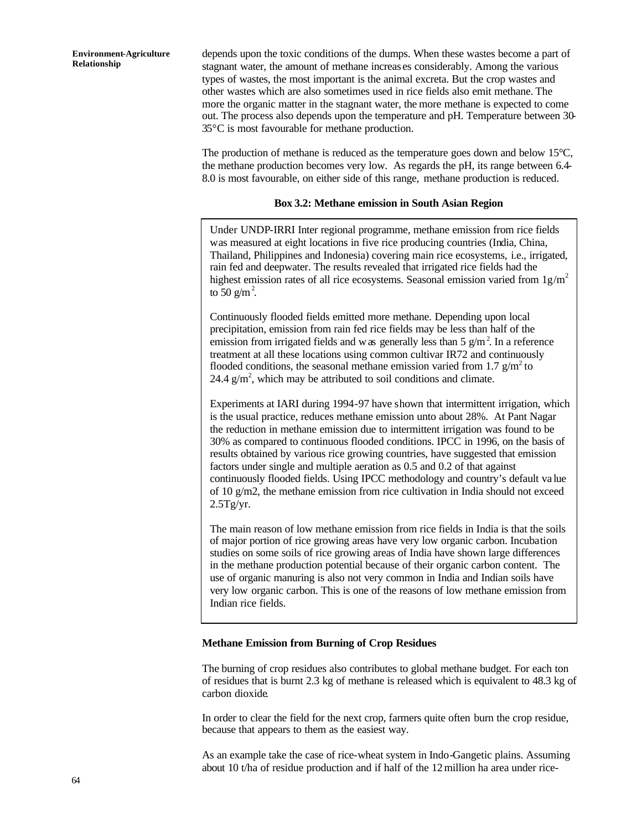depends upon the toxic conditions of the dumps. When these wastes become a part of stagnant water, the amount of methane increas es considerably. Among the various types of wastes, the most important is the animal excreta. But the crop wastes and other wastes which are also sometimes used in rice fields also emit methane. The more the organic matter in the stagnant water, the more methane is expected to come out. The process also depends upon the temperature and pH. Temperature between 30- 35°C is most favourable for methane production.

The production of methane is reduced as the temperature goes down and below 15°C, the methane production becomes very low. As regards the pH, its range between 6.4- 8.0 is most favourable, on either side of this range, methane production is reduced.

#### **Box 3.2: Methane emission in South Asian Region**

Under UNDP-IRRI Inter regional programme, methane emission from rice fields was measured at eight locations in five rice producing countries (India, China, Thailand, Philippines and Indonesia) covering main rice ecosystems, i.e., irrigated, rain fed and deepwater. The results revealed that irrigated rice fields had the highest emission rates of all rice ecosystems. Seasonal emission varied from  $1g/m<sup>2</sup>$ to  $50 \text{ g/m}^2$ .

Continuously flooded fields emitted more methane. Depending upon local precipitation, emission from rain fed rice fields may be less than half of the emission from irrigated fields and was generally less than  $5 \text{ g/m}^2$ . In a reference treatment at all these locations using common cultivar IR72 and continuously flooded conditions, the seasonal methane emission varied from 1.7  $g/m^2$  to 24.4  $g/m^2$ , which may be attributed to soil conditions and climate.

Experiments at IARI during 1994-97 have shown that intermittent irrigation, which is the usual practice, reduces methane emission unto about 28%. At Pant Nagar the reduction in methane emission due to intermittent irrigation was found to be 30% as compared to continuous flooded conditions. IPCC in 1996, on the basis of results obtained by various rice growing countries, have suggested that emission factors under single and multiple aeration as 0.5 and 0.2 of that against continuously flooded fields. Using IPCC methodology and country's default va lue of 10 g/m2, the methane emission from rice cultivation in India should not exceed  $2.5Tg/yr.$ 

The main reason of low methane emission from rice fields in India is that the soils of major portion of rice growing areas have very low organic carbon. Incubation studies on some soils of rice growing areas of India have shown large differences in the methane production potential because of their organic carbon content. The use of organic manuring is also not very common in India and Indian soils have very low organic carbon. This is one of the reasons of low methane emission from Indian rice fields.

#### **Methane Emission from Burning of Crop Residues**

The burning of crop residues also contributes to global methane budget. For each ton of residues that is burnt 2.3 kg of methane is released which is equivalent to 48.3 kg of carbon dioxide.

In order to clear the field for the next crop, farmers quite often burn the crop residue, because that appears to them as the easiest way.

As an example take the case of rice-wheat system in Indo-Gangetic plains. Assuming about 10 t/ha of residue production and if half of the 12million ha area under rice-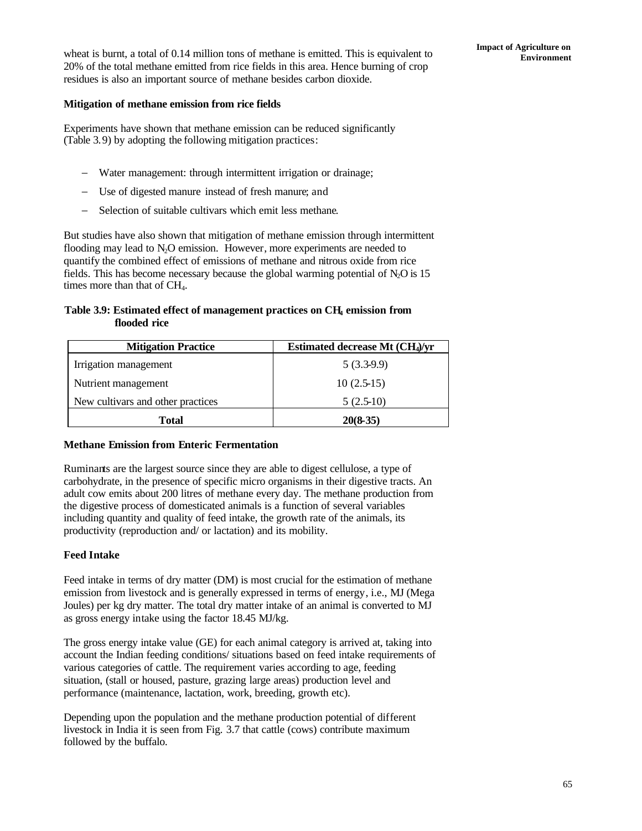### **Mitigation of methane emission from rice fields**

Experiments have shown that methane emission can be reduced significantly (Table 3.9) by adopting the following mitigation practices:

- − Water management: through intermittent irrigation or drainage;
- − Use of digested manure instead of fresh manure; and
- − Selection of suitable cultivars which emit less methane.

But studies have also shown that mitigation of methane emission through intermittent flooding may lead to  $N_2O$  emission. However, more experiments are needed to quantify the combined effect of emissions of methane and nitrous oxide from rice fields. This has become necessary because the global warming potential of  $N_2O$  is 15 times more than that of  $CH<sub>4</sub>$ .

### **Table 3.9: Estimated effect of management practices on CH4 emission from flooded rice**

| <b>Mitigation Practice</b>        | Estimated decrease Mt (CH <sub>4</sub> )/yr |
|-----------------------------------|---------------------------------------------|
| Irrigation management             | $5(3.3-9.9)$                                |
| Nutrient management               | $10(2.5-15)$                                |
| New cultivars and other practices | $5(2.5-10)$                                 |
| Total                             | $20(8-35)$                                  |

### **Methane Emission from Enteric Fermentation**

Ruminants are the largest source since they are able to digest cellulose, a type of carbohydrate, in the presence of specific micro organisms in their digestive tracts. An adult cow emits about 200 litres of methane every day. The methane production from the digestive process of domesticated animals is a function of several variables including quantity and quality of feed intake, the growth rate of the animals, its productivity (reproduction and/ or lactation) and its mobility.

## **Feed Intake**

Feed intake in terms of dry matter (DM) is most crucial for the estimation of methane emission from livestock and is generally expressed in terms of energy, i.e., MJ (Mega Joules) per kg dry matter. The total dry matter intake of an animal is converted to MJ as gross energy intake using the factor 18.45 MJ/kg.

The gross energy intake value (GE) for each animal category is arrived at, taking into account the Indian feeding conditions/ situations based on feed intake requirements of various categories of cattle. The requirement varies according to age, feeding situation, (stall or housed, pasture, grazing large areas) production level and performance (maintenance, lactation, work, breeding, growth etc).

Depending upon the population and the methane production potential of different livestock in India it is seen from Fig. 3.7 that cattle (cows) contribute maximum followed by the buffalo.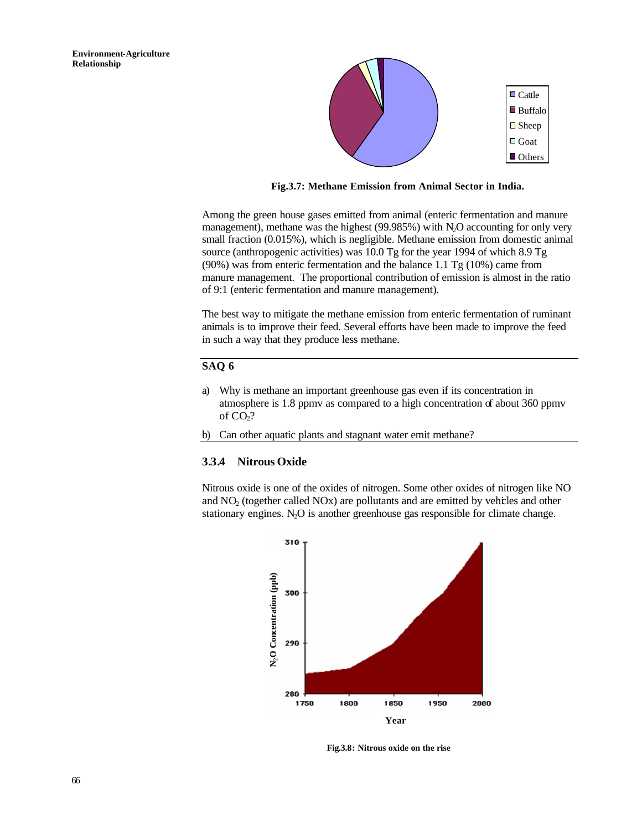

**Fig.3.7: Methane Emission from Animal Sector in India.**

Among the green house gases emitted from animal (enteric fermentation and manure management), methane was the highest (99.985%) with  $N_2O$  accounting for only very small fraction (0.015%), which is negligible. Methane emission from domestic animal source (anthropogenic activities) was 10.0 Tg for the year 1994 of which 8.9 Tg (90%) was from enteric fermentation and the balance 1.1 Tg (10%) came from manure management. The proportional contribution of emission is almost in the ratio of 9:1 (enteric fermentation and manure management).

The best way to mitigate the methane emission from enteric fermentation of ruminant animals is to improve their feed. Several efforts have been made to improve the feed in such a way that they produce less methane.

### **SAQ 6**

- a) Why is methane an important greenhouse gas even if its concentration in atmosphere is 1.8 ppmv as compared to a high concentration of about 360 ppmv of CO<sub>2</sub>?
- b) Can other aquatic plants and stagnant water emit methane?

### **3.3.4 Nitrous Oxide**

Nitrous oxide is one of the oxides of nitrogen. Some other oxides of nitrogen like NO and NO2 (together called NOx) are pollutants and are emitted by vehicles and other stationary engines.  $N_2O$  is another greenhouse gas responsible for climate change.



**Fig.3.8: Nitrous oxide on the rise**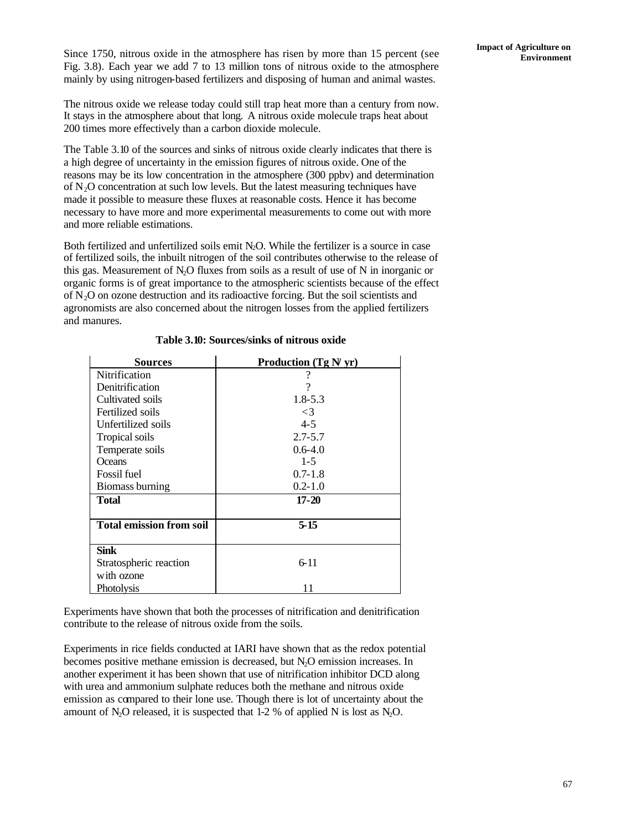Since 1750, nitrous oxide in the atmosphere has risen by more than 15 percent (see Fig. 3.8). Each year we add 7 to 13 million tons of nitrous oxide to the atmosphere mainly by using nitrogen-based fertilizers and disposing of human and animal wastes.

**Impact of Agriculture on** 

The nitrous oxide we release today could still trap heat more than a century from now. It stays in the atmosphere about that long. A nitrous oxide molecule traps heat about 200 times more effectively than a carbon dioxide molecule.

The Table 3.10 of the sources and sinks of nitrous oxide clearly indicates that there is a high degree of uncertainty in the emission figures of nitrous oxide. One of the reasons may be its low concentration in the atmosphere (300 ppbv) and determination of  $N<sub>2</sub>O$  concentration at such low levels. But the latest measuring techniques have made it possible to measure these fluxes at reasonable costs. Hence it has become necessary to have more and more experimental measurements to come out with more and more reliable estimations.

Both fertilized and unfertilized soils emit  $N_2O$ . While the fertilizer is a source in case of fertilized soils, the inbuilt nitrogen of the soil contributes otherwise to the release of this gas. Measurement of  $N_2O$  fluxes from soils as a result of use of N in inorganic or organic forms is of great importance to the atmospheric scientists because of the effect of  $N<sub>2</sub>O$  on ozone destruction and its radioactive forcing. But the soil scientists and agronomists are also concerned about the nitrogen losses from the applied fertilizers and manures.

| <b>Sources</b>                  | Production $(Tg N yr)$ |
|---------------------------------|------------------------|
| Nitrification                   | ?                      |
| Denitrification                 | ?                      |
| Cultivated soils                | $1.8 - 5.3$            |
| Fertilized soils                | $\leq$ 3               |
| Unfertilized soils              | $4 - 5$                |
| Tropical soils                  | $2.7 - 5.7$            |
| Temperate soils                 | $0.6 - 4.0$            |
| <b>Oceans</b>                   | $1 - 5$                |
| <b>Fossil</b> fuel              | $0.7 - 1.8$            |
| Biomass burning                 | $0.2 - 1.0$            |
| Total                           | $17 - 20$              |
|                                 |                        |
| <b>Total emission from soil</b> | $5 - 15$               |
|                                 |                        |
| Sink                            |                        |
| Stratospheric reaction          | $6 - 11$               |
| with ozone                      |                        |
| <b>Photolysis</b>               | 11                     |

### **Table 3.10: Sources/sinks of nitrous oxide**

Experiments have shown that both the processes of nitrification and denitrification contribute to the release of nitrous oxide from the soils.

Experiments in rice fields conducted at IARI have shown that as the redox potential becomes positive methane emission is decreased, but N2O emission increases. In another experiment it has been shown that use of nitrification inhibitor DCD along with urea and ammonium sulphate reduces both the methane and nitrous oxide emission as compared to their lone use. Though there is lot of uncertainty about the amount of N<sub>2</sub>O released, it is suspected that  $1-2$  % of applied N is lost as N<sub>2</sub>O.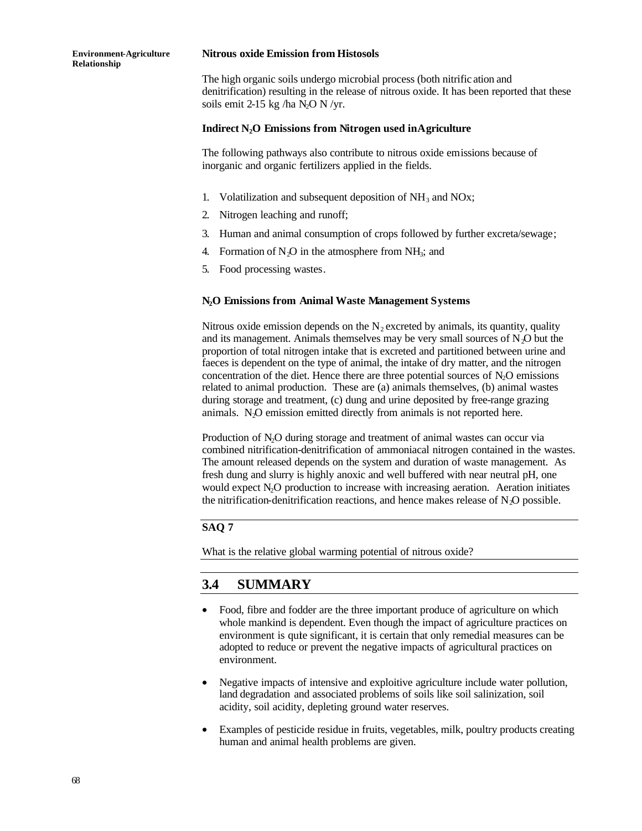#### **Nitrous oxide Emission from Histosols**

The high organic soils undergo microbial process (both nitrific ation and denitrification) resulting in the release of nitrous oxide. It has been reported that these soils emit 2-15 kg /ha  $N_2$ O N /yr.

### **Indirect N2O Emissions from Nitrogen used in Agriculture**

The following pathways also contribute to nitrous oxide emissions because of inorganic and organic fertilizers applied in the fields.

- 1. Volatilization and subsequent deposition of  $NH_3$  and NOx;
- 2. Nitrogen leaching and runoff;
- 3. Human and animal consumption of crops followed by further excreta/sewage;
- 4. Formation of  $N_2O$  in the atmosphere from  $NH_3$ ; and
- 5. Food processing wastes.

### **N2O Emissions from Animal Waste Management Systems**

Nitrous oxide emission depends on the  $N<sub>2</sub>$  excreted by animals, its quantity, quality and its management. Animals themselves may be very small sources of  $N<sub>2</sub>O$  but the proportion of total nitrogen intake that is excreted and partitioned between urine and faeces is dependent on the type of animal, the intake of dry matter, and the nitrogen concentration of the diet. Hence there are three potential sources of  $N_2O$  emissions related to animal production. These are (a) animals themselves, (b) animal wastes during storage and treatment, (c) dung and urine deposited by free-range grazing animals. N<sub>2</sub>O emission emitted directly from animals is not reported here.

Production of N<sub>2</sub>O during storage and treatment of animal wastes can occur via combined nitrification-denitrification of ammoniacal nitrogen contained in the wastes. The amount released depends on the system and duration of waste management. As fresh dung and slurry is highly anoxic and well buffered with near neutral pH, one would expect N<sub>2</sub>O production to increase with increasing aeration. Aeration initiates the nitrification-denitrification reactions, and hence makes release of  $N<sub>2</sub>O$  possible.

### **SAQ 7**

What is the relative global warming potential of nitrous oxide?

# **3.4 SUMMARY**

- Food, fibre and fodder are the three important produce of agriculture on which whole mankind is dependent. Even though the impact of agriculture practices on environment is quite significant, it is certain that only remedial measures can be adopted to reduce or prevent the negative impacts of agricultural practices on environment.
- Negative impacts of intensive and exploitive agriculture include water pollution, land degradation and associated problems of soils like soil salinization, soil acidity, soil acidity, depleting ground water reserves.
- Examples of pesticide residue in fruits, vegetables, milk, poultry products creating human and animal health problems are given.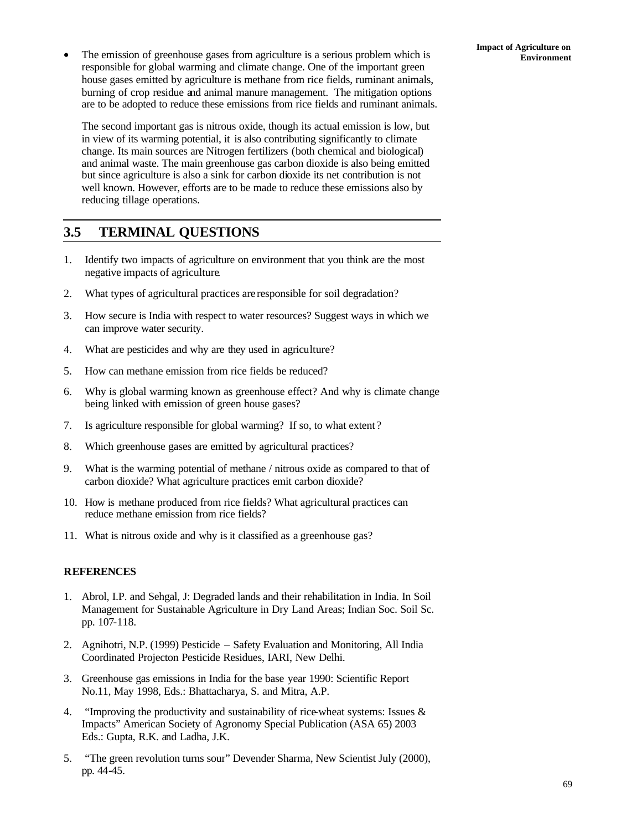• The emission of greenhouse gases from agriculture is a serious problem which is **Environment** responsible for global warming and climate change. One of the important green house gases emitted by agriculture is methane from rice fields, ruminant animals, burning of crop residue and animal manure management. The mitigation options are to be adopted to reduce these emissions from rice fields and ruminant animals.

The second important gas is nitrous oxide, though its actual emission is low, but in view of its warming potential, it is also contributing significantly to climate change. Its main sources are Nitrogen fertilizers (both chemical and biological) and animal waste. The main greenhouse gas carbon dioxide is also being emitted but since agriculture is also a sink for carbon dioxide its net contribution is not well known. However, efforts are to be made to reduce these emissions also by reducing tillage operations.

# **3.5 TERMINAL QUESTIONS**

- 1. Identify two impacts of agriculture on environment that you think are the most negative impacts of agriculture.
- 2. What types of agricultural practices are responsible for soil degradation?
- 3. How secure is India with respect to water resources? Suggest ways in which we can improve water security.
- 4. What are pesticides and why are they used in agriculture?
- 5. How can methane emission from rice fields be reduced?
- 6. Why is global warming known as greenhouse effect? And why is climate change being linked with emission of green house gases?
- 7. Is agriculture responsible for global warming? If so, to what extent ?
- 8. Which greenhouse gases are emitted by agricultural practices?
- 9. What is the warming potential of methane / nitrous oxide as compared to that of carbon dioxide? What agriculture practices emit carbon dioxide?
- 10. How is methane produced from rice fields? What agricultural practices can reduce methane emission from rice fields?
- 11. What is nitrous oxide and why is it classified as a greenhouse gas?

## **REFERENCES**

- 1. Abrol, I.P. and Sehgal, J: Degraded lands and their rehabilitation in India. In Soil Management for Sustainable Agriculture in Dry Land Areas; Indian Soc. Soil Sc. pp. 107-118.
- 2. Agnihotri, N.P. (1999) Pesticide − Safety Evaluation and Monitoring, All India Coordinated Projecton Pesticide Residues, IARI, New Delhi.
- 3. Greenhouse gas emissions in India for the base year 1990: Scientific Report No.11, May 1998, Eds.: Bhattacharya, S. and Mitra, A.P.
- 4. "Improving the productivity and sustainability of rice-wheat systems: Issues & Impacts" American Society of Agronomy Special Publication (ASA 65) 2003 Eds.: Gupta, R.K. and Ladha, J.K.
- 5. "The green revolution turns sour" Devender Sharma, New Scientist July (2000), pp. 44-45.